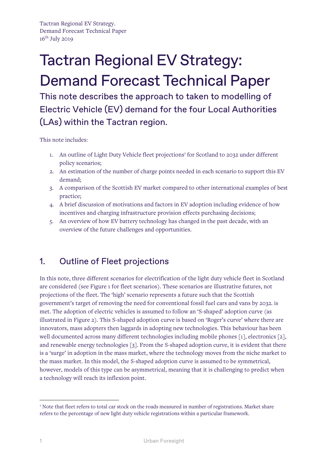Tactran Regional EV Strategy. Demand Forecast Technical Paper  $16^{th}$  July 2019

# Tactran Regional EV Strategy: Demand Forecast Technical Paper

This note describes the approach to taken to modelling of Electric Vehicle (EV) demand for the four Local Authorities (LAs) within the Tactran region.

This note includes:

- 1.An outline of Light Duty Vehicle fleet projections<sup>1</sup> for Scotland to 2032 under different policy scenarios;
- 2. An estimation of the number of charge points needed in each scenario to support this EV demand;
- 3. A comparison of the Scottish EV market compared to other international examples of best practice;
- 4. A brief discussion of motivations and factors in EV adoption including evidence of how incentives and charging infrastructure provision effects purchasing decisions;
- 5. An overview of how EV battery technology has changed in the past decade, with an overview of the future challenges and opportunities.

# 1. Outline of Fleet projections

In this note, three different scenarios for electrification of the light duty vehicle fleet in Scotland are considered (see Figure 1 for fleet scenarios). These scenarios are illustrative futures, not projections of the fleet. The 'high' scenario represents a future such that the Scottish government's target of removing the need for conventional fossil fuel cars and vans by 2032. is met. The adoption of electric vehicles is assumed to follow an 'S-shaped' adoption curve (as illustrated in Figure 2). This S-shaped adoption curve is based on 'Roger's curve' where there are innovators, mass adopters then laggards in adopting new technologies. This behaviour has been well documented across many different technologies including mobile phones [1], electronics [2], and renewable energy technologies [3]. From the S-shaped adoption curve, it is evident that there is a 'surge' in adoption in the mass market, where the technology moves from the niche market to the mass market. In this model, the S-shaped adoption curve is assumed to be symmetrical, however, models of this type can be asymmetrical, meaning that it is challenging to predict when a technology will reach its inflexion point.

<span id="page-0-0"></span><sup>&</sup>lt;sup>1</sup> Note that fleet refers to total car stock on the roads measured in number of registrations. Market share refers to the percentage of new light duty vehicle registrations within a particular framework.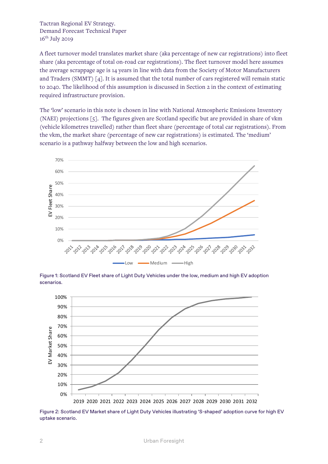Tactran Regional EV Strategy. Demand Forecast Technical Paper  $16^{\text{th}}$  July 2019

A fleet turnover model translates market share (aka percentage of new car registrations) into fleet share (aka percentage of total on-road car registrations). The fleet turnover model here assumes the average scrappage age is 14 years in line with data from the Society of Motor Manufacturers and Traders (SMMT) [4]. It is assumed that the total number of cars registered will remain static to 2040. The likelihood of this assumption is discussed in Section 2 in the context of estimating required infrastructure provision.

The 'low' scenario in this note is chosen in line with National Atmospheric Emissions Inventory (NAEI) projections [5]. The figures given are Scotland specific but are provided in share of vkm (vehicle kilometres travelled) rather than fleet share (percentage of total car registrations). From the vkm, the market share (percentage of new car registrations) is estimated. The 'medium' scenario is a pathway halfway between the low and high scenarios.



Figure 1: Scotland EV Fleet share of Light Duty Vehicles under the low, medium and high EV adoption scenarios.



Figure 2: Scotland EV Market share of Light Duty Vehicles illustrating 'S-shaped' adoption curve for high EV uptake scenario.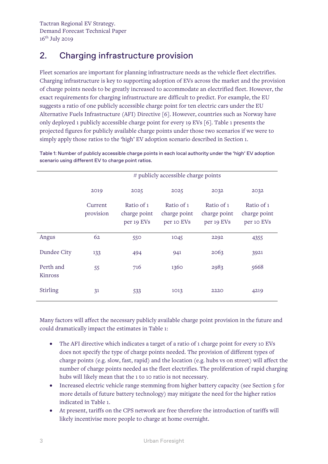# 2. Charging infrastructure provision

Fleet scenarios are important for planning infrastructure needs as the vehicle fleet electrifies. Charging infrastructure is key to supporting adoption of EVs across the market and the provision of charge points needs to be greatly increased to accommodate an electrified fleet. However, the exact requirements for charging infrastructure are difficult to predict. For example, the EU suggests a ratio of one publicly accessible charge point for ten electric cars under the EU Alternative Fuels Infrastructure (AFI) Directive [6]. However, countries such as Norway have only deployed 1 publicly accessible charge point for every 19 EVs [6]. Table 1 presents the projected figures for publicly available charge points under those two scenarios if we were to simply apply those ratios to the 'high' EV adoption scenario described in Section 1.

|                      | # publicly accessible charge points |                                          |                                          |                                          |                                          |
|----------------------|-------------------------------------|------------------------------------------|------------------------------------------|------------------------------------------|------------------------------------------|
|                      |                                     |                                          |                                          |                                          |                                          |
|                      | 2019                                | 2025                                     | 2025                                     | 2032                                     | 2032                                     |
|                      | Current<br>provision                | Ratio of 1<br>charge point<br>per 19 EVs | Ratio of 1<br>charge point<br>per 10 EVs | Ratio of 1<br>charge point<br>per 19 EVs | Ratio of 1<br>charge point<br>per 10 EVs |
| Angus                | 62                                  | 550                                      | 1045                                     | 2292                                     | 4355                                     |
| Dundee City          | 133                                 | 494                                      | 941                                      | 2063                                     | 3921                                     |
| Perth and<br>Kinross | 55                                  | 716                                      | 1360                                     | 2983                                     | 5668                                     |
| Stirling             | 31                                  | 533                                      | 1013                                     | 2220                                     | 4219                                     |

Table 1: Number of publicly accessible charge points in each local authority under the 'high' EV adoption scenario using different EV to charge point ratios.

Many factors will affect the necessary publicly available charge point provision in the future and could dramatically impact the estimates in Table 1:

- The AFI directive which indicates a target of a ratio of 1 charge point for every 10 EVs does not specify the type of charge points needed. The provision of different types of charge points (e.g. slow, fast, rapid) and the location (e.g. hubs vs on street) will affect the number of charge points needed as the fleet electrifies. The proliferation of rapid charging hubs will likely mean that the 1 to 10 ratio is not necessary.
- Increased electric vehicle range stemming from higher battery capacity (see Section 5 for more details of future battery technology) may mitigate the need for the higher ratios indicated in Table 1.
- At present, tariffs on the CPS network are free therefore the introduction of tariffs will likely incentivise more people to charge at home overnight.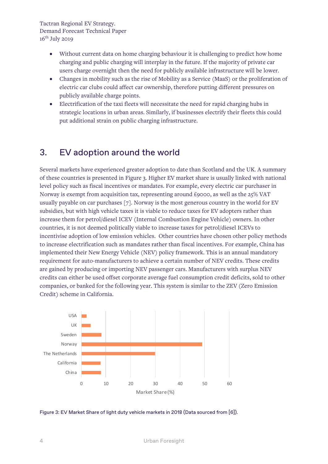Tactran Regional EV Strategy. Demand Forecast Technical Paper  $16^{th}$  July 2019

- Without current data on home charging behaviour it is challenging to predict how home charging and public charging will interplay in the future. If the majority of private car users charge overnight then the need for publicly available infrastructure will be lower.
- Changes in mobility such as the rise of Mobility as a Service (MaaS) or the proliferation of electric car clubs could affect car ownership, therefore putting different pressures on publicly available charge points.
- Electrification of the taxi fleets will necessitate the need for rapid charging hubs in strategic locations in urban areas. Similarly, if businesses electrify their fleets this could put additional strain on public charging infrastructure.

#### 3. EV adoption around the world

Several markets have experienced greater adoption to date than Scotland and the UK. A summary of these countries is presented in Figure 3. Higher EV market share is usually linked with national level policy such as fiscal incentives or mandates. For example, every electric car purchaser in Norway is exempt from acquisition tax, representing around £9000, as well as the  $25\%$  VAT usually payable on car purchases [7]. Norway is the most generous country in the world for EV subsidies, but with high vehicle taxes it is viable to reduce taxes for EV adopters rather than increase them for petrol/diesel ICEV (Internal Combustion Engine Vehicle) owners. In other countries, it is not deemed politically viable to increase taxes for petrol/diesel ICEVs to incentivise adoption of low emission vehicles. Other countries have chosen other policy methods to increase electrification such as mandates rather than fiscal incentives. For example, China has implemented their New Energy Vehicle (NEV) policy framework. This is an annual mandatory requirement for auto-manufacturers to achieve a certain number of NEV credits. These credits are gained by producing or importing NEV passenger cars. Manufacturers with surplus NEV credits can either be used offset corporate average fuel consumption credit deficits, sold to other companies, or banked for the following year. This system is similar to the ZEV (Zero Emission Credit) scheme in California.



Figure 3: EV Market Share of light duty vehicle markets in 2018 (Data sourced from [6]).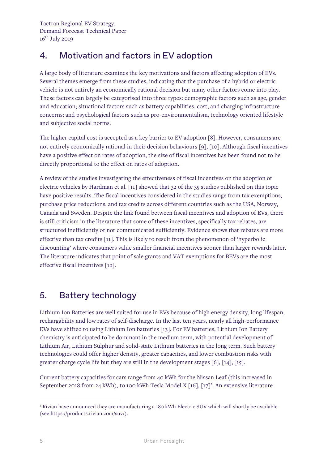## 4. Motivation and factors in EV adoption

A large body of literature examines the key motivations and factors affecting adoption of EVs. Several themes emerge from these studies, indicating that the purchase of a hybrid or electric vehicle is not entirely an economically rational decision but many other factors come into play. These factors can largely be categorised into three types: demographic factors such as age, gender and education; situational factors such as battery capabilities, cost, and charging infrastructure concerns; and psychological factors such as pro-environmentalism, technology oriented lifestyle and subjective social norms.

The higher capital cost is accepted as a key barrier to EV adoption [8]. However, consumers are not entirely economically rational in their decision behaviours [9], [10]. Although fiscal incentives have a positive effect on rates of adoption, the size of fiscal incentives has been found not to be directly proportional to the effect on rates of adoption.

A review of the studies investigating the effectiveness of fiscal incentives on the adoption of electric vehicles by Hardman et al. [11] showed that 32 of the 35 studies published on this topic have positive results. The fiscal incentives considered in the studies range from tax exemptions, purchase price reductions, and tax credits across different countries such as the USA, Norway, Canada and Sweden. Despite the link found between fiscal incentives and adoption of EVs, there is still criticism in the literature that some of these incentives, specifically tax rebates, are structured inefficiently or not communicated sufficiently. Evidence shows that rebates are more effective than tax credits [11]. This is likely to result from the phenomenon of 'hyperbolic discounting' where consumers value smaller financial incentives sooner than larger rewards later. The literature indicates that point of sale grants and VAT exemptions for BEVs are the most effective fiscal incentives [12].

### 5. Battery technology

Lithium Ion Batteries are well suited for use in EVs because of high energy density, long lifespan, rechargability and low rates of self-discharge. In the last ten years, nearly all high-performance EVs have shifted to using Lithium Ion batteries [13]. For EV batteries, Lithium Ion Battery chemistry is anticipated to be dominant in the medium term, with potential development of Lithium Air, Lithium Sulphur and solid-state Lithium batteries in the long term. Such battery technologies could offer higher density, greater capacities, and lower combustion risks with greater charge cycle life but they are still in the development stages [6], [14], [15].

Current battery capacities for cars range from 40 kWh for the Nissan Leaf (this increased in September 2018 from 24 kWh), to 100 kWh Tesla Model X [16], [17]<sup>2</sup>[.](#page-4-0) An extensive literature

<span id="page-4-0"></span><sup>2</sup> Rivian have announced they are manufacturing a 180 kWh Electric SUV which will shortly be available (see https://products.rivian.com/suv/).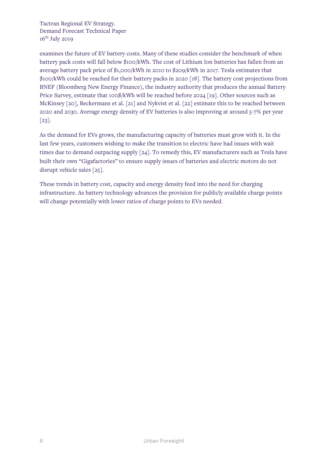Tactran Regional EV Strategy. Demand Forecast Technical Paper  $16^{\text{th}}$  July 2019

examines the future of EV battery costs. Many of these studies consider the benchmark of when battery pack costs will fall below \$100/kWh. The cost of Lithium Ion batteries has fallen from an average battery pack price of \$1,000/kWh in 2010 to \$209/kWh in 2017. Tesla estimates that \$100/kWh could be reached for their battery packs in 2020 [18]. The battery cost projections from BNEF (Bloomberg New Energy Finance), the industry authority that produces the annual Battery Price Survey, estimate that 100\$/kWh will be reached before 2024 [19]. Other sources such as McKinsey [20], Beckermans et al. [21] and Nykvist et al. [22] estimate this to be reached between 2020 and 2030. Average energy density of EV batteries is also improving at around 5-7% per year [23].

As the demand for EVs grows, the manufacturing capacity of batteries must grow with it. In the last few years, customers wishing to make the transition to electric have had issues with wait times due to demand outpacing supply [24]. To remedy this, EV manufacturers such as Tesla have built their own "Gigafactories" to ensure supply issues of batteries and electric motors do not disrupt vehicle sales [25].

These trends in battery cost, capacity and energy density feed into the need for charging infrastructure. As battery technology advances the provision for publicly available charge points will change potentially with lower ratios of charge points to EVs needed.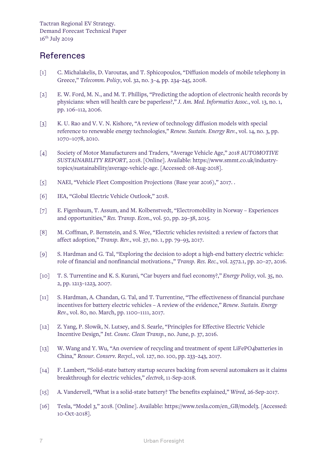#### **References**

- [1] C. Michalakelis, D. Varoutas, and T. Sphicopoulos, "Diffusion models of mobile telephony in Greece," *Telecomm. Policy*, vol. 32, no. 3–4, pp. 234–245, 2008.
- [2] E. W. Ford, M. N., and M. T. Phillips, "Predicting the adoption of electronic health records by physicians: when will health care be paperless?," *J. Am. Med. Informatics Assoc.*, vol. 13, no. 1, pp. 106–112, 2006.
- [3] K. U. Rao and V. V. N. Kishore, "A review of technology diffusion models with special reference to renewable energy technologies," *Renew. Sustain. Energy Rev.*, vol. 14, no. 3, pp. 1070–1078, 2010.
- [4] Society of Motor Manufacturers and Traders, "Average Vehicle Age," *2018 AUTOMOTIVE SUSTAINABILITY REPORT*, 2018. [Online]. Available: https://www.smmt.co.uk/industrytopics/sustainability/average-vehicle-age. [Accessed: 08-Aug-2018].
- [5] NAEI, "Vehicle Fleet Composition Projections (Base year 2016)," 2017. .
- [6] IEA, "Global Electric Vehicle Outlook," 2018.
- [7] E. Figenbaum, T. Assum, and M. Kolbenstvedt, "Electromobility in Norway Experiences and opportunities," *Res. Transp. Econ.*, vol. 50, pp. 29–38, 2015.
- [8] M. Coffman, P. Bernstein, and S. Wee, "Electric vehicles revisited: a review of factors that affect adoption," *Transp. Rev.*, vol. 37, no. 1, pp. 79–93, 2017.
- [9] S. Hardman and G. Tal, "Exploring the decision to adopt a high-end battery electric vehicle: role of financial and nonfinancial motivations.," *Transp. Res. Rec.*, vol. 2572.1, pp. 20–27, 2016.
- [10] T. S. Turrentine and K. S. Kurani, "Car buyers and fuel economy?," *Energy Policy*, vol. 35, no. 2, pp. 1213–1223, 2007.
- [11] S. Hardman, A. Chandan, G. Tal, and T. Turrentine, "The effectiveness of financial purchase incentives for battery electric vehicles – A review of the evidence," *Renew. Sustain. Energy Rev.*, vol. 80, no. March, pp. 1100–1111, 2017.
- [12] Z. Yang, P. Slowik, N. Lutsey, and S. Searle, "Principles for Effective Electric Vehicle Incentive Design," *Int. Counc. Clean Transp.*, no. June, p. 37, 2016.
- [13] W. Wang and Y. Wu, "An overview of recycling and treatment of spent LiFePO4batteries in China," *Resour. Conserv. Recycl.*, vol. 127, no. 100, pp. 233–243, 2017.
- [14] F. Lambert, "Solid-state battery startup secures backing from several automakers as it claims breakthrough for electric vehicles," *electrek*, 11-Sep-2018.
- [15] A. Vandervell, "What is a solid-state battery? The benefits explained," *Wired*, 26-Sep-2017.
- [16] Tesla, "Model 3," 2018. [Online]. Available: https://www.tesla.com/en\_GB/model3. [Accessed: 10-Oct-2018].